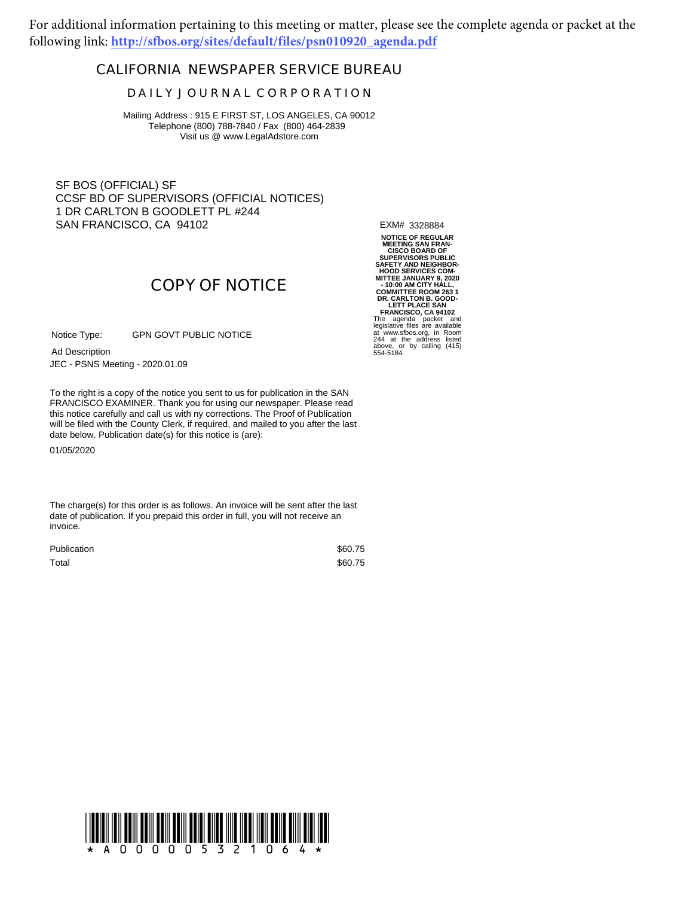For additional information pertaining to this meeting or matter, please see the complete agenda or packet at the following link: **http://sfbos.org/sites/default/files/psn010920\_agenda.pdf**

### **CALIFORNIA NEWSPAPER SERVICE BUREAU**

#### **D A I L Y J O U R N A L C O R P O R A T I O N**

Mailing Address : 915 E FIRST ST, LOS ANGELES, CA 90012 Telephone (800) 788-7840 / Fax (800) 464-2839 Visit us @ www.LegalAdstore.com

SF BOS (OFFICIAL) SF CCSF BD OF SUPERVISORS (OFFICIAL NOTICES) 1 DR CARLTON B GOODLETT PL #244 SAN FRANCISCO, CA 94102

EXM# 3328884

# **COPY OF NOTICE**

GPN GOVT PUBLIC NOTICE Notice Type:

JEC - PSNS Meeting - 2020.01.09 Ad Description

FRANCISCO EXAMINER. Thank you for using our newspaper. Please read<br>this notice carefully and call us with ny corrections. The Proof of Publication To the right is a copy of the notice you sent to us for publication in the SAN FRANCISCO EXAMINER. Thank you for using our newspaper. Please read will be filed with the County Clerk, if required, and mailed to you after the last date below. Publication date(s) for this notice is (are):

01/05/2020

The charge(s) for this order is as follows. An invoice will be sent after the last date of publication. If you prepaid this order in full, you will not receive an invoice.

| Publication | \$60.75 |
|-------------|---------|
| Total       | \$60.75 |

**NOTICE OF REGULAR MEETING SAN FRAN-CISCO BOARD OF SUPERVISORS PUBLIC SAFETY AND NEIGHBOR-HOOD SERVICES COM-MITTEE JANUARY 9, 2020 - 10:00 AM CITY HALL, COMMITTEE ROOM 263 1 DR. CARLTON B. GOOD-LETT PLACE SAN FRANCISCO, CA 94102** The agenda packet and legislative files are available at www.sfbos.org, in Room 244 at the address listed above, or by calling (415) 554-5184.